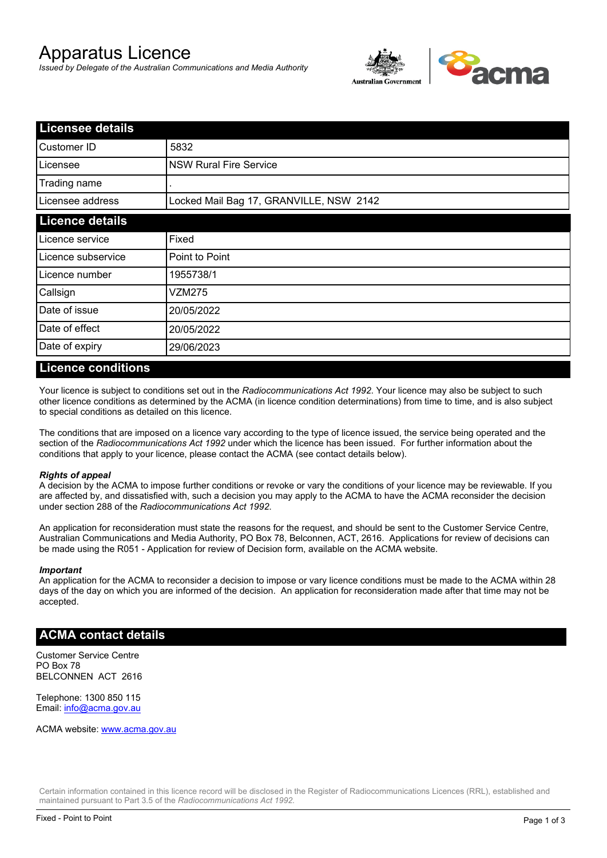# Apparatus Licence

*Issued by Delegate of the Australian Communications and Media Authority*



| <b>Licensee details</b> |                                         |  |
|-------------------------|-----------------------------------------|--|
| Customer ID             | 5832                                    |  |
| Licensee                | <b>NSW Rural Fire Service</b>           |  |
| Trading name            |                                         |  |
| Licensee address        | Locked Mail Bag 17, GRANVILLE, NSW 2142 |  |
| <b>Licence details</b>  |                                         |  |
| Licence service         | Fixed                                   |  |
| Licence subservice      | Point to Point                          |  |
| Licence number          | 1955738/1                               |  |
| Callsign                | VZM275                                  |  |
| Date of issue           | 20/05/2022                              |  |
| Date of effect          | 20/05/2022                              |  |
| Date of expiry          | 29/06/2023                              |  |

#### **Licence conditions**

Your licence is subject to conditions set out in the *Radiocommunications Act 1992*. Your licence may also be subject to such other licence conditions as determined by the ACMA (in licence condition determinations) from time to time, and is also subject to special conditions as detailed on this licence.

The conditions that are imposed on a licence vary according to the type of licence issued, the service being operated and the section of the *Radiocommunications Act 1992* under which the licence has been issued. For further information about the conditions that apply to your licence, please contact the ACMA (see contact details below).

#### *Rights of appeal*

A decision by the ACMA to impose further conditions or revoke or vary the conditions of your licence may be reviewable. If you are affected by, and dissatisfied with, such a decision you may apply to the ACMA to have the ACMA reconsider the decision under section 288 of the *Radiocommunications Act 1992*.

An application for reconsideration must state the reasons for the request, and should be sent to the Customer Service Centre, Australian Communications and Media Authority, PO Box 78, Belconnen, ACT, 2616. Applications for review of decisions can be made using the R051 - Application for review of Decision form, available on the ACMA website.

#### *Important*

An application for the ACMA to reconsider a decision to impose or vary licence conditions must be made to the ACMA within 28 days of the day on which you are informed of the decision. An application for reconsideration made after that time may not be accepted.

#### **ACMA contact details**

Customer Service Centre PO Box 78 BELCONNEN ACT 2616

Telephone: 1300 850 115 Email: info@acma.gov.au

ACMA website: www.acma.gov.au

Certain information contained in this licence record will be disclosed in the Register of Radiocommunications Licences (RRL), established and maintained pursuant to Part 3.5 of the *Radiocommunications Act 1992.*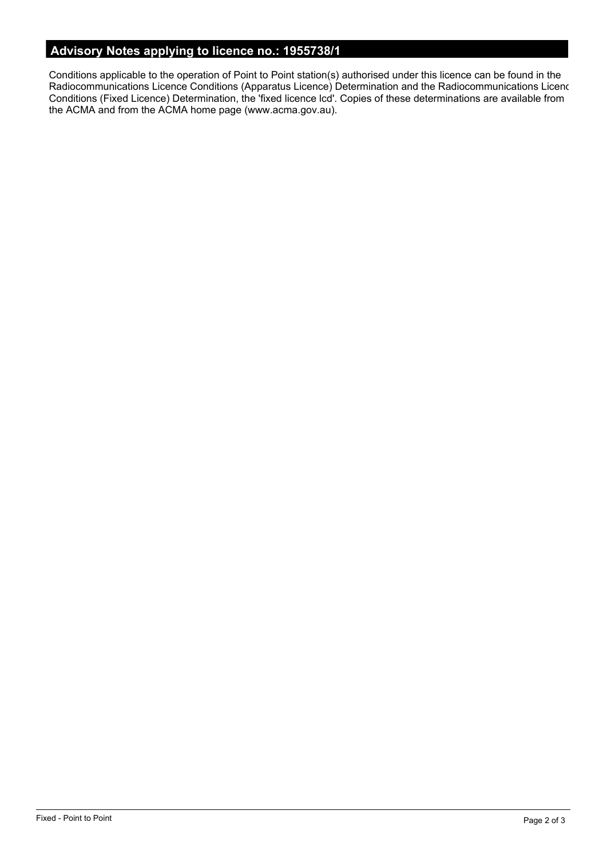# **Advisory Notes applying to licence no.: 1955738/1**

Conditions applicable to the operation of Point to Point station(s) authorised under this licence can be found in the Radiocommunications Licence Conditions (Apparatus Licence) Determination and the Radiocommunications Licence Conditions (Fixed Licence) Determination, the 'fixed licence lcd'. Copies of these determinations are available from the ACMA and from the ACMA home page (www.acma.gov.au).